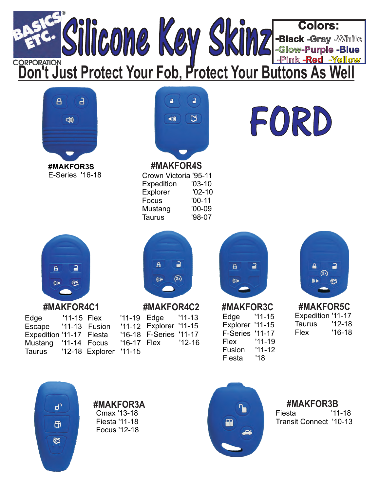## **Colors:** Silicone Key Skinz-**-Black -Gray -White -Glow-Purple -Blue -Pink -Red -Yellow DONATION CORPORATION**<br>Don't Just Protect Your Fob, Protect Your Buttons As Wel  $\overline{a}$  $\overline{a}$ a.  $\mathbf{a}$ FORD  $\overline{\mathbb{C}}$  $\blacktriangleleft$  3) <br /> **#MAKFOR4S #MAKFOR3S E-Series '16-18** Crown Victoria '95-11 Expedition '03-10 Explorer '02-10 Focus 00-11 ' Mustang '00-09 Taurus '98-07  $\overline{a}$  $\overline{\mathbf{a}}$  $\overline{a}$  $\overline{a}$  $\overline{\mathbf{a}}$  $\overline{\mathbf{a}}$  $\overline{a}$  $(2x)$  $(x)$ ชิร  $\mathcal{U}$ 郅 **#MAKFOR4C1 #MAKFOR4C2 #MAKFOR3C #MAKFOR5C** Expedition '11-17 Edge '11-15 Edge '11-15 Flex '11-19 Edge  $'11-13$ Taurus '12-18 Explorer '11-15 Escape '11-13 Fusion '11-12 Explorer '11-15 Flex '16-18 **F-Series '11-17** Expedition '11-17 Fiesta '16-18 F-Series '11-17 Flex '11-19  $'12-16$ Mustang  $'11-14$  Focus  $'16-17$  Flex Fusion '11-12 Taurus 12-18 ' Explorer 11-15 ' Fiesta '18 **#MAKFOR3A #MAKFOR3B** ௴ Cmax '13-18 Fiesta 11-18 ' Transit Connect '10-13 Fiesta 11-18 '  $\mathbf{f}$ Focus 12-18 ' భిన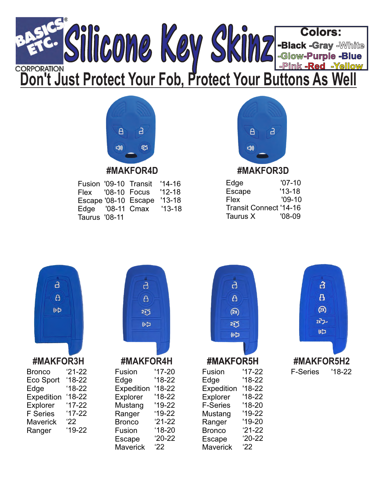



| Fusion '09-10 Transit |                      | $'14-16$ |
|-----------------------|----------------------|----------|
|                       | Flex '08-10 Focus    | $'12-18$ |
|                       | Escape '08-10 Escape | $'13-18$ |
| Edge '08-11 Cmax      |                      | $'13-18$ |
| <b>Taurus '08-11</b>  |                      |          |



## **#MAKFOR4D #MAKFOR3D**

| $'07-10'$                     |
|-------------------------------|
| $'13-18$                      |
| $'09-10$                      |
| <b>Transit Connect '14-16</b> |
| $'08-09$                      |
|                               |